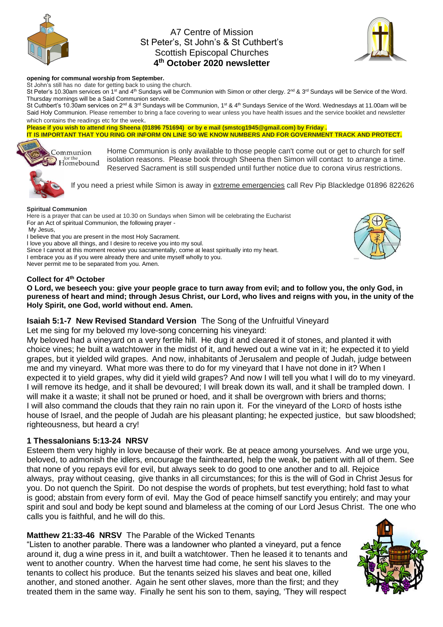

# A7 Centre of Mission St Peter's, St John's & St Cuthbert's Scottish Episcopal Churches **4 th October 2020 newsletter**



#### **opening for communal worship from September.**

St John's still has no date for getting back to using the church.

St Peter's 10.30am services on 1<sup>st</sup> and 4<sup>th</sup> Sundays will be Communion with Simon or other clergy. 2<sup>nd</sup> & 3<sup>rd</sup> Sundays will be Service of the Word. Thursday mornings will be a Said Communion service.

St Cuthbert's 10.30am services on 2<sup>nd</sup> & 3<sup>rd</sup> Sundays will be Communion, 1<sup>st</sup> & 4<sup>th</sup> Sundays Service of the Word. Wednesdays at 11.00am will be Said Holy Communion. Please remember to bring a face covering to wear unless you have health issues and the service booklet and newsletter which contains the readings etc for the week.

**Please if you wish to attend ring Sheena (01896 751694) or by e mail (smstcg1945@gmail.com) by Friday . IT IS IMPORTANT THAT YOU RING OR INFORM ON LINE SO WE KNOW NUMBERS AND FOR GOVERNMENT TRACK AND PROTECT.**



Home Communion is only available to those people can't come out or get to church for self isolation reasons. Please book through Sheena then Simon will contact to arrange a time. Reserved Sacrament is still suspended until further notice due to corona virus restrictions.

If you need a priest while Simon is away in extreme emergencies call Rev Pip Blackledge 01896 822626

#### **Spiritual Communion**

Here is a prayer that can be used at 10.30 on Sundays when Simon will be celebrating the Eucharist For an Act of spiritual Communion, the following prayer - My Jesus, I believe that you are present in the most Holy Sacrament.

I love you above all things, and I desire to receive you into my soul.

Since I cannot at this moment receive you sacramentally, come at least spiritually into my heart. I embrace you as if you were already there and unite myself wholly to you.

Never permit me to be separated from you. Amen.

#### **Collect for 4th October**

**O Lord, we beseech you: give your people grace to turn away from evil; and to follow you, the only God, in pureness of heart and mind; through Jesus Christ, our Lord, who lives and reigns with you, in the unity of the Holy Spirit, one God, world without end. Amen.**

## **Isaiah 5:1-7 New Revised Standard Version** The Song of the Unfruitful Vineyard

Let me sing for my beloved my love-song concerning his vineyard:

My beloved had a vineyard on a very fertile hill. He dug it and cleared it of stones, and planted it with choice vines; he built a watchtower in the midst of it, and hewed out a wine vat in it; he expected it to yield grapes, but it yielded wild grapes. And now, inhabitants of Jerusalem and people of Judah, judge between me and my vineyard. What more was there to do for my vineyard that I have not done in it? When I expected it to yield grapes, why did it yield wild grapes? And now I will tell you what I will do to my vineyard. I will remove its hedge, and it shall be devoured; I will break down its wall, and it shall be trampled down. I will make it a waste; it shall not be pruned or hoed, and it shall be overgrown with briers and thorns; I will also command the clouds that they rain no rain upon it. For the vineyard of the LORD of hosts isthe house of Israel, and the people of Judah are his pleasant planting; he expected justice, but saw bloodshed; righteousness, but heard a cry!

## **1 Thessalonians 5:13-24 NRSV**

Esteem them very highly in love because of their work. Be at peace among yourselves. And we urge you, beloved, to admonish the idlers, encourage the fainthearted, help the weak, be patient with all of them. See that none of you repays evil for evil, but always seek to do good to one another and to all. Rejoice always, pray without ceasing, give thanks in all circumstances; for this is the will of God in Christ Jesus for you. Do not quench the Spirit. Do not despise the words of prophets, but test everything; hold fast to what is good; abstain from every form of evil. May the God of peace himself sanctify you entirely; and may your spirit and soul and body be kept sound and blameless at the coming of our Lord Jesus Christ. The one who calls you is faithful, and he will do this.

## **Matthew 21:33-46 NRSV** The Parable of the Wicked Tenants

"Listen to another parable. There was a landowner who planted a vineyard, put a fence around it, dug a wine press in it, and built a watchtower. Then he leased it to tenants and went to another country. When the harvest time had come, he sent his slaves to the tenants to collect his produce. But the tenants seized his slaves and beat one, killed another, and stoned another. Again he sent other slaves, more than the first; and they treated them in the same way. Finally he sent his son to them, saying, 'They will respect

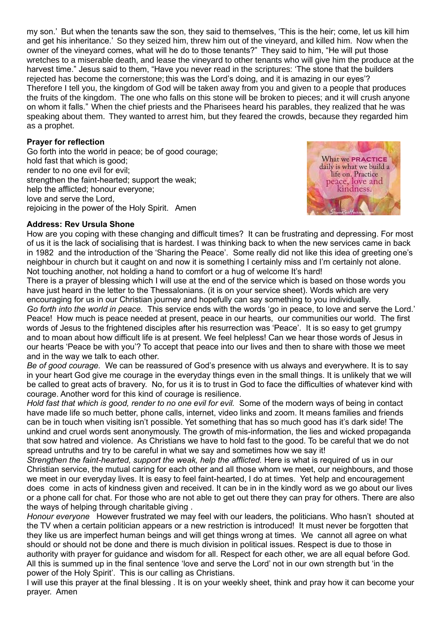my son.' But when the tenants saw the son, they said to themselves, 'This is the heir; come, let us kill him and get his inheritance.' So they seized him, threw him out of the vineyard, and killed him. Now when the owner of the vineyard comes, what will he do to those tenants?" They said to him, "He will put those wretches to a miserable death, and lease the vineyard to other tenants who will give him the produce at the harvest time." Jesus said to them, "Have you never read in the scriptures: 'The stone that the builders rejected has become the cornerstone; this was the Lord's doing, and it is amazing in our eyes'? Therefore I tell you, the kingdom of God will be taken away from you and given to a people that produces the fruits of the kingdom. The one who falls on this stone will be broken to pieces; and it will crush anyone on whom it falls." When the chief priests and the Pharisees heard his parables, they realized that he was speaking about them. They wanted to arrest him, but they feared the crowds, because they regarded him as a prophet.

# **Prayer for reflection**

Go forth into the world in peace; be of good courage; hold fast that which is good; render to no one evil for evil; strengthen the faint-hearted; support the weak; help the afflicted; honour everyone; love and serve the Lord, rejoicing in the power of the Holy Spirit. Amen



## **Address: Rev Ursula Shone**

How are you coping with these changing and difficult times? It can be frustrating and depressing. For most of us it is the lack of socialising that is hardest. I was thinking back to when the new services came in back in 1982 and the introduction of the 'Sharing the Peace'. Some really did not like this idea of greeting one's neighbour in church but it caught on and now it is something I certainly miss and I'm certainly not alone. Not touching another, not holding a hand to comfort or a hug of welcome It's hard!

There is a prayer of blessing which I will use at the end of the service which is based on those words you have just heard in the letter to the Thessalonians. (it is on your service sheet). Words which are very encouraging for us in our Christian journey and hopefully can say something to you individually.

*Go forth into the world in peace.* This service ends with the words 'go in peace, to love and serve the Lord.' Peace! How much is peace needed at present, peace in our hearts, our communities our world. The first words of Jesus to the frightened disciples after his resurrection was 'Peace'. It is so easy to get grumpy and to moan about how difficult life is at present. We feel helpless! Can we hear those words of Jesus in our hearts 'Peace be with you'? To accept that peace into our lives and then to share with those we meet and in the way we talk to each other.

*Be of good courage.* We can be reassured of God's presence with us always and everywhere. It is to say in your heart God give me courage in the everyday things even in the small things. It is unlikely that we will be called to great acts of bravery. No, for us it is to trust in God to face the difficulties of whatever kind with courage. Another word for this kind of courage is resilience.

*Hold fast that which is good, render to no one evil for evil.* Some of the modern ways of being in contact have made life so much better, phone calls, internet, video links and zoom. It means families and friends can be in touch when visiting isn't possible. Yet something that has so much good has it's dark side! The unkind and cruel words sent anonymously. The growth of mis-information, the lies and wicked propaganda that sow hatred and violence. As Christians we have to hold fast to the good. To be careful that we do not spread untruths and try to be careful in what we say and sometimes how we say it!

*Strengthen the faint-hearted, support the weak, help the afflicted.* Here is what is required of us in our Christian service, the mutual caring for each other and all those whom we meet, our neighbours, and those we meet in our everyday lives. It is easy to feel faint-hearted, I do at times. Yet help and encouragement does come in acts of kindness given and received. It can be in in the kindly word as we go about our lives or a phone call for chat. For those who are not able to get out there they can pray for others. There are also the ways of helping through charitable giving .

*Honour everyone* However frustrated we may feel with our leaders, the politicians. Who hasn't shouted at the TV when a certain politician appears or a new restriction is introduced! It must never be forgotten that they like us are imperfect human beings and will get things wrong at times. We cannot all agree on what should or should not be done and there is much division in political issues. Respect is due to those in authority with prayer for guidance and wisdom for all. Respect for each other, we are all equal before God. All this is summed up in the final sentence 'love and serve the Lord' not in our own strength but 'in the power of the Holy Spirit'. This is our calling as Christians.

I will use this prayer at the final blessing . It is on your weekly sheet, think and pray how it can become your prayer. Amen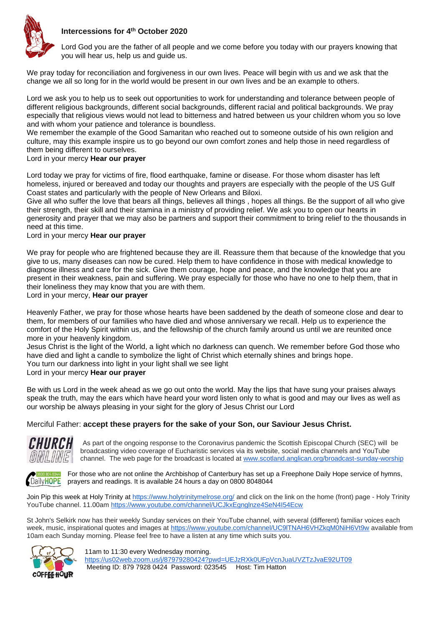



Lord God you are the father of all people and we come before you today with our prayers knowing that you will hear us, help us and guide us.

We pray today for reconciliation and forgiveness in our own lives. Peace will begin with us and we ask that the change we all so long for in the world would be present in our own lives and be an example to others.

Lord we ask you to help us to seek out opportunities to work for understanding and tolerance between people of different religious backgrounds, different social backgrounds, different racial and political backgrounds. We pray especially that religious views would not lead to bitterness and hatred between us your children whom you so love and with whom your patience and tolerance is boundless.

We remember the example of the Good Samaritan who reached out to someone outside of his own religion and culture, may this example inspire us to go beyond our own comfort zones and help those in need regardless of them being different to ourselves.

## Lord in your mercy **Hear our prayer**

Lord today we pray for victims of fire, flood earthquake, famine or disease. For those whom disaster has left homeless, injured or bereaved and today our thoughts and prayers are especially with the people of the US Gulf Coast states and particularly with the people of New Orleans and Biloxi.

Give all who suffer the love that bears all things, believes all things , hopes all things. Be the support of all who give their strength, their skill and their stamina in a ministry of providing relief. We ask you to open our hearts in generosity and prayer that we may also be partners and support their commitment to bring relief to the thousands in need at this time.

## Lord in your mercy **Hear our prayer**

We pray for people who are frightened because they are ill. Reassure them that because of the knowledge that you give to us, many diseases can now be cured. Help them to have confidence in those with medical knowledge to diagnose illness and care for the sick. Give them courage, hope and peace, and the knowledge that you are present in their weakness, pain and suffering. We pray especially for those who have no one to help them, that in their loneliness they may know that you are with them.

### Lord in your mercy, **Hear our prayer**

Heavenly Father, we pray for those whose hearts have been saddened by the death of someone close and dear to them, for members of our families who have died and whose anniversary we recall. Help us to experience the comfort of the Holy Spirit within us, and the fellowship of the church family around us until we are reunited once more in your heavenly kingdom.

Jesus Christ is the light of the World, a light which no darkness can quench. We remember before God those who have died and light a candle to symbolize the light of Christ which eternally shines and brings hope. You turn our darkness into light in your light shall we see light

# Lord in your mercy **Hear our prayer**

Be with us Lord in the week ahead as we go out onto the world. May the lips that have sung your praises always speak the truth, may the ears which have heard your word listen only to what is good and may our lives as well as our worship be always pleasing in your sight for the glory of Jesus Christ our Lord

## Merciful Father: **accept these prayers for the sake of your Son, our Saviour Jesus Christ.**



As part of the ongoing response to the Coronavirus pandemic the Scottish Episcopal Church (SEC) will be broadcasting video coverage of Eucharistic services via its website, social media channels and YouTube channel. The web page for the broadcast is located at [www.scotland.anglican.org/broadcast-sunday-worship](http://www.scotland.anglican.org/broadcast-sunday-worship)



**For those who are not online the Archbishop of Canterbury has set up a Freephone Daily Hope service of hymns,** DailyHOPE prayers and readings. It is available 24 hours a day on 0800 8048044

Join Pip this week at Holy Trinity at<https://www.holytrinitymelrose.org/> and click on the link on the home (front) page - Holy Trinity YouTube channel. 11.00am<https://www.youtube.com/channel/UCJkxEgnglnze4SeN4I54Ecw>

St John's Selkirk now has their weekly Sunday services on their YouTube channel, with several (different) familiar voices each week, music, inspirational quotes and images at <https://www.youtube.com/channel/UC9lTNAH6VHZkqM0NiH6Vt9w> available from 10am each Sunday morning. Please feel free to have a listen at any time which suits you.



11am to 11:30 every Wednesday morning. <https://us02web.zoom.us/j/87979280424?pwd=UEJzRXk0UFpVcnJuaUVZTzJvaE92UT09> Meeting ID: 879 7928 0424 Password: 023545 Host: Tim Hatton